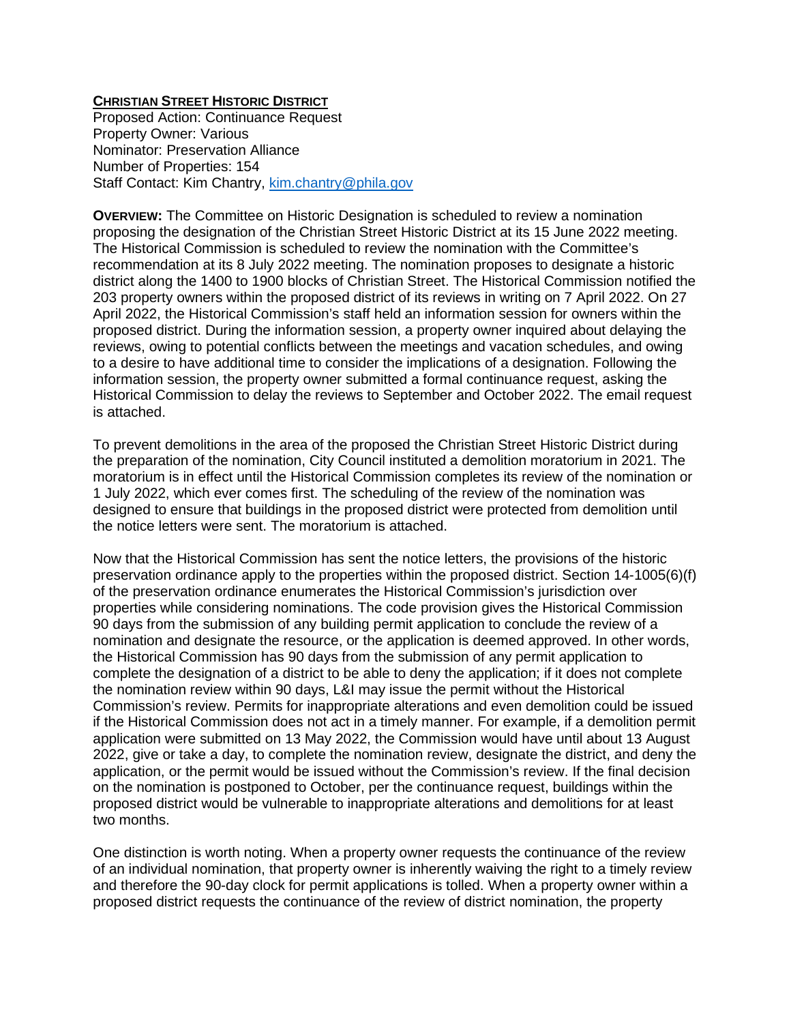## **CHRISTIAN STREET HISTORIC DISTRICT**

Proposed Action: Continuance Request Property Owner: Various Nominator: Preservation Alliance Number of Properties: 154 Staff Contact: Kim Chantry, [kim.chantry@phila.gov](mailto:kim.chantry@phila.gov)

**OVERVIEW:** The Committee on Historic Designation is scheduled to review a nomination proposing the designation of the Christian Street Historic District at its 15 June 2022 meeting. The Historical Commission is scheduled to review the nomination with the Committee's recommendation at its 8 July 2022 meeting. The nomination proposes to designate a historic district along the 1400 to 1900 blocks of Christian Street. The Historical Commission notified the 203 property owners within the proposed district of its reviews in writing on 7 April 2022. On 27 April 2022, the Historical Commission's staff held an information session for owners within the proposed district. During the information session, a property owner inquired about delaying the reviews, owing to potential conflicts between the meetings and vacation schedules, and owing to a desire to have additional time to consider the implications of a designation. Following the information session, the property owner submitted a formal continuance request, asking the Historical Commission to delay the reviews to September and October 2022. The email request is attached.

To prevent demolitions in the area of the proposed the Christian Street Historic District during the preparation of the nomination, City Council instituted a demolition moratorium in 2021. The moratorium is in effect until the Historical Commission completes its review of the nomination or 1 July 2022, which ever comes first. The scheduling of the review of the nomination was designed to ensure that buildings in the proposed district were protected from demolition until the notice letters were sent. The moratorium is attached.

Now that the Historical Commission has sent the notice letters, the provisions of the historic preservation ordinance apply to the properties within the proposed district. Section 14-1005(6)(f) of the preservation ordinance enumerates the Historical Commission's jurisdiction over properties while considering nominations. The code provision gives the Historical Commission 90 days from the submission of any building permit application to conclude the review of a nomination and designate the resource, or the application is deemed approved. In other words, the Historical Commission has 90 days from the submission of any permit application to complete the designation of a district to be able to deny the application; if it does not complete the nomination review within 90 days, L&I may issue the permit without the Historical Commission's review. Permits for inappropriate alterations and even demolition could be issued if the Historical Commission does not act in a timely manner. For example, if a demolition permit application were submitted on 13 May 2022, the Commission would have until about 13 August 2022, give or take a day, to complete the nomination review, designate the district, and deny the application, or the permit would be issued without the Commission's review. If the final decision on the nomination is postponed to October, per the continuance request, buildings within the proposed district would be vulnerable to inappropriate alterations and demolitions for at least two months.

One distinction is worth noting. When a property owner requests the continuance of the review of an individual nomination, that property owner is inherently waiving the right to a timely review and therefore the 90-day clock for permit applications is tolled. When a property owner within a proposed district requests the continuance of the review of district nomination, the property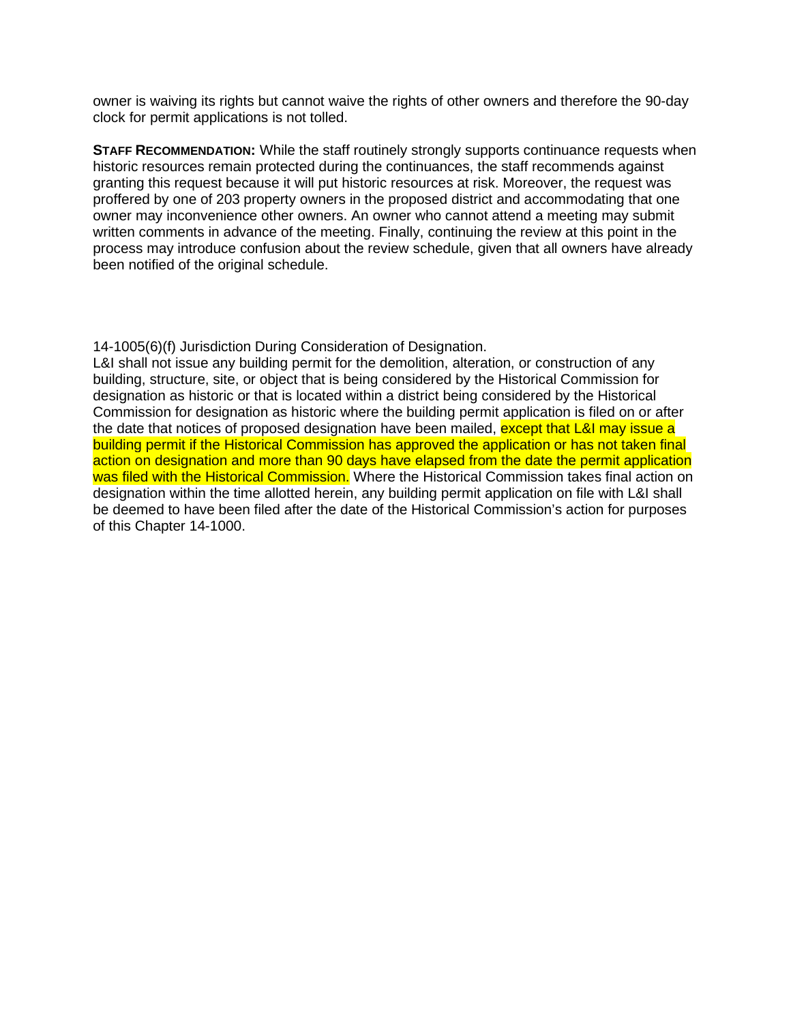owner is waiving its rights but cannot waive the rights of other owners and therefore the 90-day clock for permit applications is not tolled.

**STAFF RECOMMENDATION:** While the staff routinely strongly supports continuance requests when historic resources remain protected during the continuances, the staff recommends against granting this request because it will put historic resources at risk. Moreover, the request was proffered by one of 203 property owners in the proposed district and accommodating that one owner may inconvenience other owners. An owner who cannot attend a meeting may submit written comments in advance of the meeting. Finally, continuing the review at this point in the process may introduce confusion about the review schedule, given that all owners have already been notified of the original schedule.

14-1005(6)(f) Jurisdiction During Consideration of Designation.

L&I shall not issue any building permit for the demolition, alteration, or construction of any building, structure, site, or object that is being considered by the Historical Commission for designation as historic or that is located within a district being considered by the Historical Commission for designation as historic where the building permit application is filed on or after the date that notices of proposed designation have been mailed, except that L&I may issue a building permit if the Historical Commission has approved the application or has not taken final action on designation and more than 90 days have elapsed from the date the permit application was filed with the Historical Commission. Where the Historical Commission takes final action on designation within the time allotted herein, any building permit application on file with L&I shall be deemed to have been filed after the date of the Historical Commission's action for purposes of this Chapter 14-1000.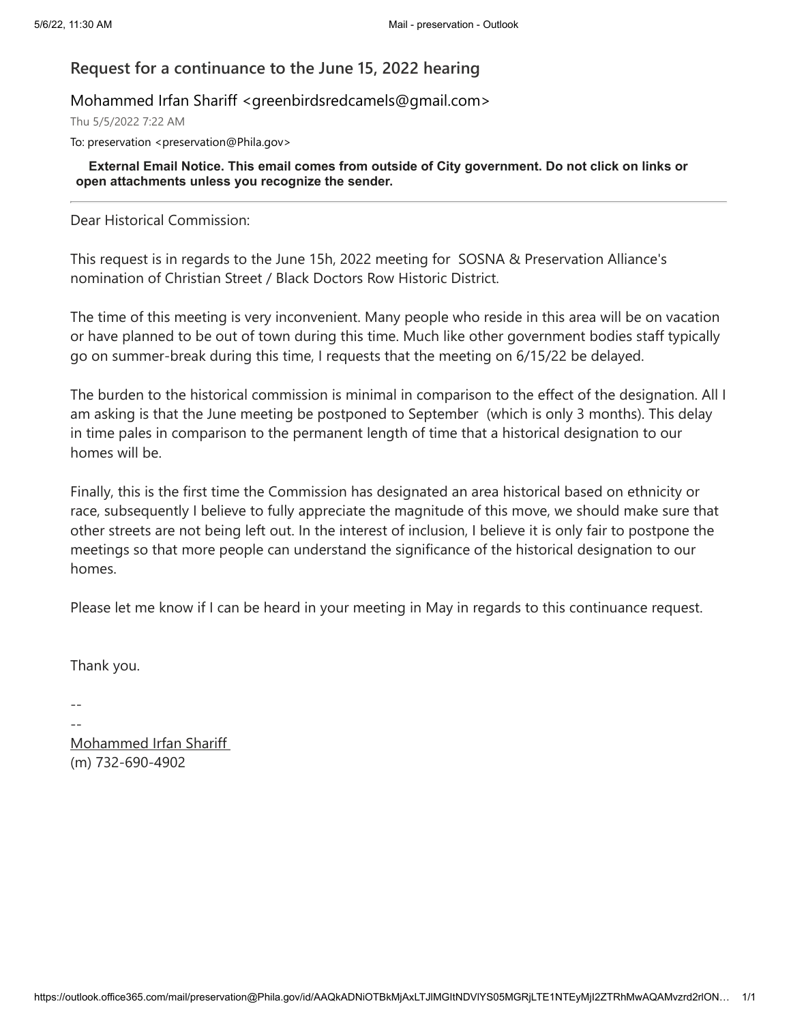# **Request for a continuance to the June 15, 2022 hearing**

## Mohammed Irfan Shariff <greenbirdsredcamels@gmail.com>

Thu 5/5/2022 7:22 AM

To: preservation <preservation@Phila.gov>

**External Email Notice. This email comes from outside of City government. Do not click on links or open attachments unless you recognize the sender.**

Dear Historical Commission:

This request is in regards to the June 15h, 2022 meeting for SOSNA & Preservation Alliance's nomination of Christian Street / Black Doctors Row Historic District.

The time of this meeting is very inconvenient. Many people who reside in this area will be on vacation or have planned to be out of town during this time. Much like other government bodies staff typically go on summer-break during this time, I requests that the meeting on 6/15/22 be delayed.

The burden to the historical commission is minimal in comparison to the effect of the designation. All I am asking is that the June meeting be postponed to September (which is only 3 months). This delay in time pales in comparison to the permanent length of time that a historical designation to our homes will be.

Finally, this is the first time the Commission has designated an area historical based on ethnicity or race, subsequently I believe to fully appreciate the magnitude of this move, we should make sure that other streets are not being left out. In the interest of inclusion, I believe it is only fair to postpone the meetings so that more people can understand the significance of the historical designation to our homes.

Please let me know if I can be heard in your meeting in May in regards to this continuance request.

Thank you.

-- --

Mohammed Irfan Shariff (m) 732-690-4902